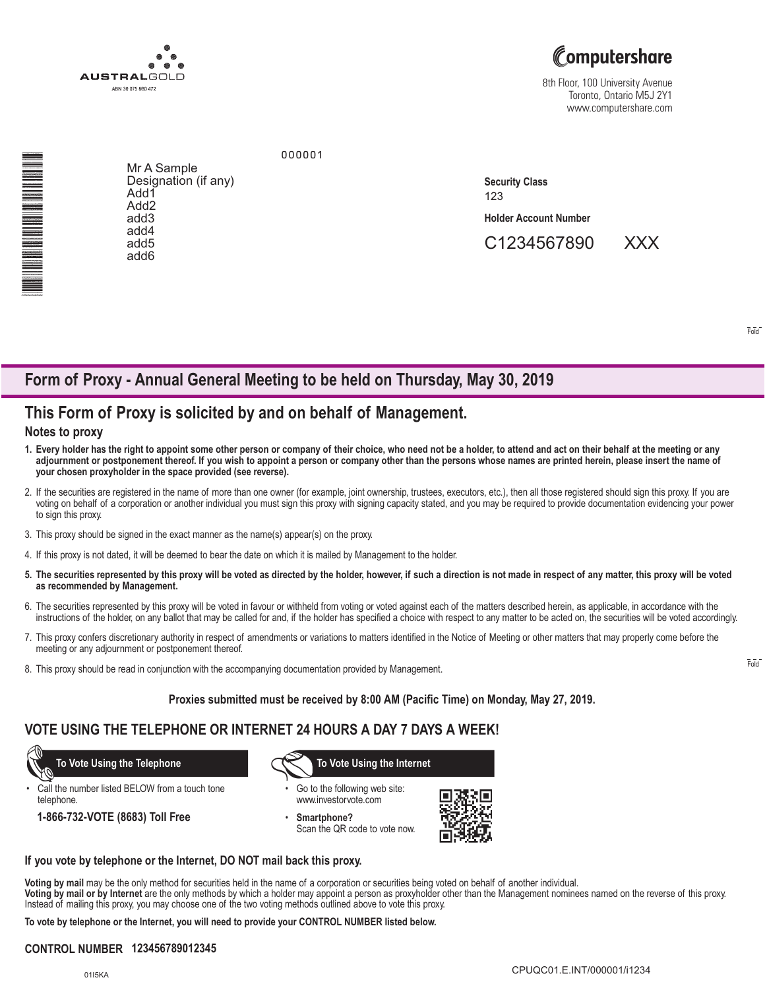

# Computershare

8th Floor, 100 University Avenue Toronto, Ontario M5J 2Y1 www.computershare.com

NA MARINA NA MARINA NA MARATA NA MARATA NA MARATA NA MARATA NA MARATA NA MARATA NA MARATA NA MARATA NA MARATA N<br>Na marata na marata na marata na marata na marata na marata na marata na marata na marata na marata na marata

Mr A Sample Designation (if any) Add1 Add2 add3 add4 add5 add6

123 **Holder Account Number Security Class**

C1234567890 XXX

Fold

# **Form of Proxy - Annual General Meeting to be held on Thursday, May 30, 2019**

000001

## **This Form of Proxy is solicited by and on behalf of Management.**

### **Notes to proxy**

- **1. Every holder has the right to appoint some other person or company of their choice, who need not be a holder, to attend and act on their behalf at the meeting or any adjournment or postponement thereof. If you wish to appoint a person or company other than the persons whose names are printed herein, please insert the name of your chosen proxyholder in the space provided (see reverse).**
- 2. If the securities are registered in the name of more than one owner (for example, joint ownership, trustees, executors, etc.), then all those registered should sign this proxy. If you are voting on behalf of a corporation or another individual you must sign this proxy with signing capacity stated, and you may be required to provide documentation evidencing your power to sign this proxy.
- 3. This proxy should be signed in the exact manner as the name(s) appear(s) on the proxy.
- 4. If this proxy is not dated, it will be deemed to bear the date on which it is mailed by Management to the holder.
- **5. The securities represented by this proxy will be voted as directed by the holder, however, if such a direction is not made in respect of any matter, this proxy will be voted as recommended by Management.**
- 6. The securities represented by this proxy will be voted in favour or withheld from voting or voted against each of the matters described herein, as applicable, in accordance with the instructions of the holder, on any ballot that may be called for and, if the holder has specified a choice with respect to any matter to be acted on, the securities will be voted accordingly.
- 7. This proxy confers discretionary authority in respect of amendments or variations to matters identified in the Notice of Meeting or other matters that may properly come before the meeting or any adjournment or postponement thereof.
- 8. This proxy should be read in conjunction with the accompanying documentation provided by Management.

#### **Proxies submitted must be received by 8:00 AM (Pacific Time) on Monday, May 27, 2019.**

### **VOTE USING THE TELEPHONE OR INTERNET 24 HOURS A DAY 7 DAYS A WEEK!**

Call the number listed BELOW from a touch tone telephone.

**1-866-732-VOTE (8683) Toll Free**

 **To Vote Using the Telephone To Vote Using the Internet**

- Go to the following web site: www.investorvote.com
- **Smartphone?** Scan the QR code to vote now.



#### **If you vote by telephone or the Internet, DO NOT mail back this proxy.**

**Voting by mail** may be the only method for securities held in the name of a corporation or securities being voted on behalf of another individual.

**Voting by mail or by Internet** are the only methods by which a holder may appoint a person as proxyholder other than the Management nominees named on the reverse of this proxy. Instead of mailing this proxy, you may choose one of the two voting methods outlined above to vote this proxy.

**To vote by telephone or the Internet, you will need to provide your CONTROL NUMBER listed below.**

### **CONTROL NUMBER 123456789012345**